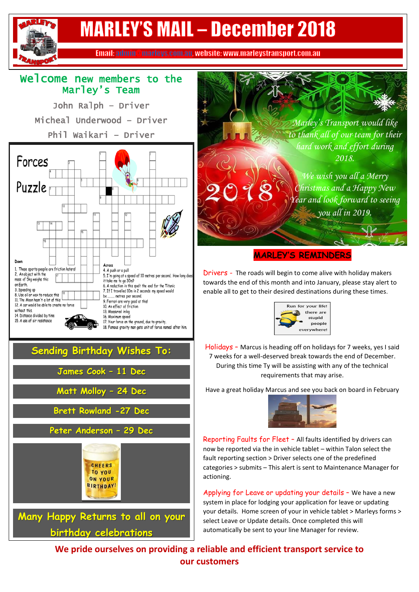## **MARLEY'S MAIL - December 2018** Email: admin@marleys.com.au, website: www.marleystransport.com.au Welcome new members to the ` Marley's Team John Ralph – Driver Micheal Underwood – Driver *Marley's Transport would like*  Phil Waikari – Driver *to thank all of our team for their hard work and effort during*   $\overline{a}$ *2018.* Forces ٦ *We wish you all a Merry*  Puzzle *Christmas and a Happy New Year and look forward to seeing you all in 2019.***MARLEY'S REMINDERS** Across These sports-people are friction haters! 4. A push or a pull Drivers - The roads will begin to come alive with holiday makers 2. An object with the 5. I'm going at a speed of 10 metres per second. How long does mass of 5kg weighs this it take me to go 30m? towards the end of this month and into January, please stay alert to on Earth 6. A reduction in this spelt the end for the Titanic 3. Speeding up 7. If I travelled 10m in 2 seconds my speed would enable all to get to their desired destinations during these times. 8. Use oil or wax to reduce this ..... metres per second be... 11. The Moon hasn't a lot of this 9. Ferrari are very good at this!<br>10. An effect of friction 12. A car would be able to create no force Run for your life! without this. 13. Measured in kg there are 14. Distance divided by time 16. Maximum speed stupid 15. A use of air resistance 17. Your force on the ground, due to gravity. people 18. Famous gravity man gets unit of force named after him. everywhere  $\overline{\phantom{a}}$ Holidays – Marcus is heading off on holidays for 7 weeks, yes I said **Sending Birthday Wishes To:** 7 weeks for a well-deserved break towards the end of December. During this time Ty will be assisting with any of the technical

**James Cook – 11 Dec**

**Matt Molloy – 24 Dec**

**Brett Rowland -27 Dec**

**Peter Anderson – 29 Dec**

**CHEERS TO YOU ON YOUR BIRTHDAY!** 

**Many Happy Returns to all on your** 

**birthday celebrations**

requirements that may arise.

Have a great holiday Marcus and see you back on board in February



Reporting Faults for Fleet – All faults identified by drivers can now be reported via the in vehicle tablet – within Talon select the fault reporting section > Driver selects one of the predefined categories > submits – This alert is sent to Maintenance Manager for actioning.

Applying for Leave or updating your details – We have a new system in place for lodging your application for leave or updating your details. Home screen of your in vehicle tablet > Marleys forms > select Leave or Update details. Once completed this will automatically be sent to your line Manager for review.

**We pride ourselves on providing a reliable and efficient transport service to our customers**